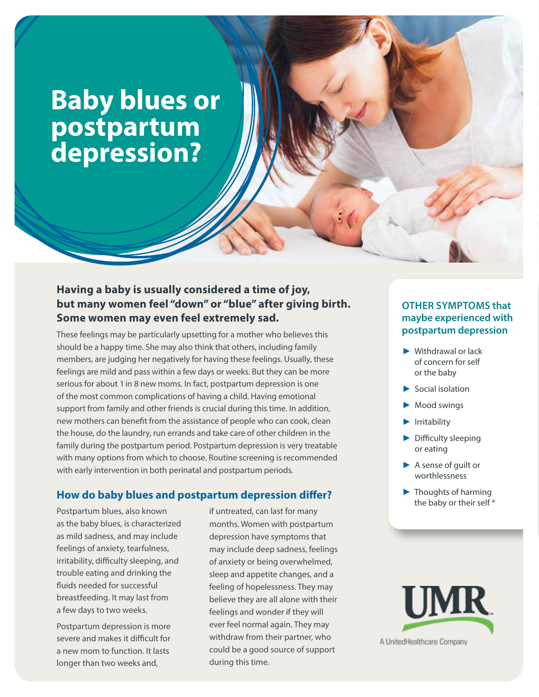# **Baby blues or postpartum depression?**

## **Having a baby is usually considered a time of joy, but many women feel "down" or "blue" after giving birth. Some women may even feel extremely sad.**

These feelings may be particularly upsetting for a mother who believes this should be a happy time. She may also think that others, including family members, are judging her negatively for having these feelings. Usually, these feelings are mild and pass within a few days or weeks. But they can be more serious for about 1 in 8 new moms. In fact, postpartum depression is one of the most common complications of having a child. Having emotional support from family and other friends is crucial during this time. In addition, new mothers can benefit from the assistance of people who can cook, clean the house, do the laundry, run errands and take care of other children in the family during the postpartum period. Postpartum depression is very treatable with many options from which to choose. Routine screening is recommended with early intervention in both perinatal and postpartum periods.

### **How do baby blues and postpartum depression differ?**

Postpartum blues, also known as the baby blues, is characterized as mild sadness, and may include feelings of anxiety, tearfulness, irritability, difficulty sleeping, and trouble eating and drinking the fluids needed for successful breastfeeding. It may last from a few days to two weeks.

Postpartum depression is more severe and makes it difficult for a new mom to function. It lasts longer than two weeks and,

if untreated, can last for many months. Women with postpartum depression have symptoms that may include deep sadness, feelings of anxiety or being overwhelmed, sleep and appetite changes, and a feeling of hopelessness. They may believe they are all alone with their feelings and wonder if they will ever feel normal again. They may withdraw from their partner, who could be a good source of support during this time.

### **OTHER SYMPTOMS that maybe experienced with postpartum depression**

- ▶ Withdrawal or lack of concern for self or the baby
- ► Social isolation
- ► Mood swings
- ▶ Irritability
- ▶ Difficulty sleeping or eating
- ► A sense of guilt or worthlessness
- ► Thoughts of harming the baby or their self\*



A UnitedHealthcare Company